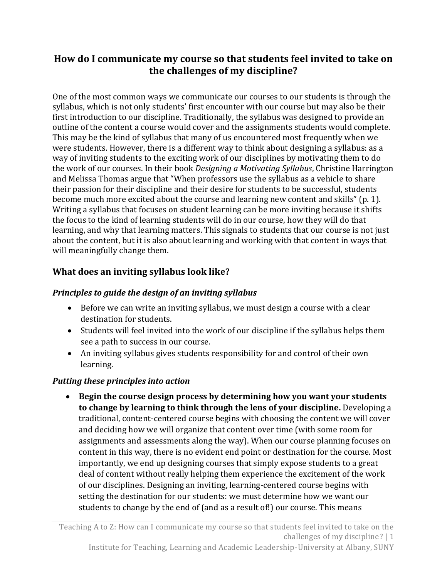# **How do I communicate my course so that students feel invited to take on the challenges of my discipline?**

One of the most common ways we communicate our courses to our students is through the syllabus, which is not only students' first encounter with our course but may also be their first introduction to our discipline. Traditionally, the syllabus was designed to provide an outline of the content a course would cover and the assignments students would complete. This may be the kind of syllabus that many of us encountered most frequently when we were students. However, there is a different way to think about designing a syllabus: as a way of inviting students to the exciting work of our disciplines by motivating them to do the work of our courses. In their book *Designing a Motivating Syllabus*, Christine Harrington and Melissa Thomas argue that "When professors use the syllabus as a vehicle to share their passion for their discipline and their desire for students to be successful, students become much more excited about the course and learning new content and skills" (p. 1). Writing a syllabus that focuses on student learning can be more inviting because it shifts the focus to the kind of learning students will do in our course, how they will do that learning, and why that learning matters. This signals to students that our course is not just about the content, but it is also about learning and working with that content in ways that will meaningfully change them.

## **What does an inviting syllabus look like?**

## *Principles to guide the design of an inviting syllabus*

- Before we can write an inviting syllabus, we must design a course with a clear destination for students.
- Students will feel invited into the work of our discipline if the syllabus helps them see a path to success in our course.
- An inviting syllabus gives students responsibility for and control of their own learning.

## *Putting these principles into action*

 **Begin the course design process by determining how you want your students to change by learning to think through the lens of your discipline.** Developing a traditional, content-centered course begins with choosing the content we will cover and deciding how we will organize that content over time (with some room for assignments and assessments along the way). When our course planning focuses on content in this way, there is no evident end point or destination for the course. Most importantly, we end up designing courses that simply expose students to a great deal of content without really helping them experience the excitement of the work of our disciplines. Designing an inviting, learning-centered course begins with setting the destination for our students: we must determine how we want our students to change by the end of (and as a result of!) our course. This means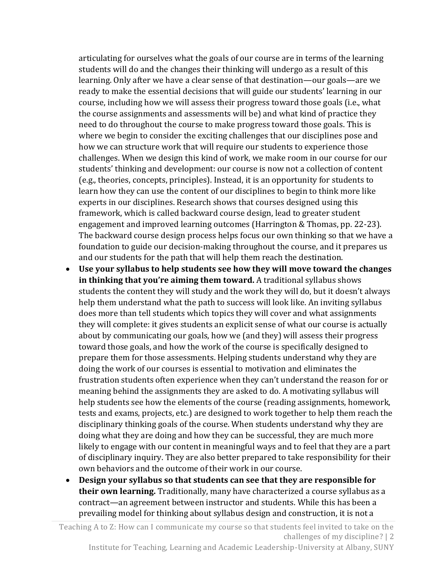articulating for ourselves what the goals of our course are in terms of the learning students will do and the changes their thinking will undergo as a result of this learning. Only after we have a clear sense of that destination—our goals—are we ready to make the essential decisions that will guide our students' learning in our course, including how we will assess their progress toward those goals (i.e., what the course assignments and assessments will be) and what kind of practice they need to do throughout the course to make progress toward those goals. This is where we begin to consider the exciting challenges that our disciplines pose and how we can structure work that will require our students to experience those challenges. When we design this kind of work, we make room in our course for our students' thinking and development: our course is now not a collection of content (e.g., theories, concepts, principles). Instead, it is an opportunity for students to learn how they can use the content of our disciplines to begin to think more like experts in our disciplines. Research shows that courses designed using this framework, which is called backward course design, lead to greater student engagement and improved learning outcomes (Harrington & Thomas, pp. 22-23). The backward course design process helps focus our own thinking so that we have a foundation to guide our decision-making throughout the course, and it prepares us and our students for the path that will help them reach the destination.

- **Use your syllabus to help students see how they will move toward the changes in thinking that you're aiming them toward.** A traditional syllabus shows students the content they will study and the work they will do, but it doesn't always help them understand what the path to success will look like. An inviting syllabus does more than tell students which topics they will cover and what assignments they will complete: it gives students an explicit sense of what our course is actually about by communicating our goals, how we (and they) will assess their progress toward those goals, and how the work of the course is specifically designed to prepare them for those assessments. Helping students understand why they are doing the work of our courses is essential to motivation and eliminates the frustration students often experience when they can't understand the reason for or meaning behind the assignments they are asked to do. A motivating syllabus will help students see how the elements of the course (reading assignments, homework, tests and exams, projects, etc.) are designed to work together to help them reach the disciplinary thinking goals of the course. When students understand why they are doing what they are doing and how they can be successful, they are much more likely to engage with our content in meaningful ways and to feel that they are a part of disciplinary inquiry. They are also better prepared to take responsibility for their own behaviors and the outcome of their work in our course.
- **Design your syllabus so that students can see that they are responsible for their own learning.** Traditionally, many have characterized a course syllabus as a contract—an agreement between instructor and students. While this has been a prevailing model for thinking about syllabus design and construction, it is not a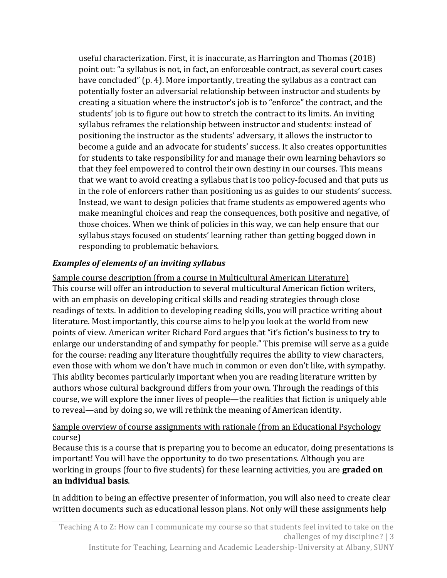useful characterization. First, it is inaccurate, as Harrington and Thomas (2018) point out: "a syllabus is not, in fact, an enforceable contract, as several court cases have concluded" (p. 4). More importantly, treating the syllabus as a contract can potentially foster an adversarial relationship between instructor and students by creating a situation where the instructor's job is to "enforce" the contract, and the students' job is to figure out how to stretch the contract to its limits. An inviting syllabus reframes the relationship between instructor and students: instead of positioning the instructor as the students' adversary, it allows the instructor to become a guide and an advocate for students' success. It also creates opportunities for students to take responsibility for and manage their own learning behaviors so that they feel empowered to control their own destiny in our courses. This means that we want to avoid creating a syllabus that is too policy-focused and that puts us in the role of enforcers rather than positioning us as guides to our students' success. Instead, we want to design policies that frame students as empowered agents who make meaningful choices and reap the consequences, both positive and negative, of those choices. When we think of policies in this way, we can help ensure that our syllabus stays focused on students' learning rather than getting bogged down in responding to problematic behaviors.

## *Examples of elements of an inviting syllabus*

Sample course description (from a course in Multicultural American Literature) This course will offer an introduction to several multicultural American fiction writers, with an emphasis on developing critical skills and reading strategies through close readings of texts. In addition to developing reading skills, you will practice writing about literature. Most importantly, this course aims to help you look at the world from new points of view. American writer Richard Ford argues that "it's fiction's business to try to enlarge our understanding of and sympathy for people." This premise will serve as a guide for the course: reading any literature thoughtfully requires the ability to view characters, even those with whom we don't have much in common or even don't like, with sympathy. This ability becomes particularly important when you are reading literature written by authors whose cultural background differs from your own. Through the readings of this course, we will explore the inner lives of people—the realities that fiction is uniquely able to reveal—and by doing so, we will rethink the meaning of American identity.

## Sample overview of course assignments with rationale (from an Educational Psychology course)

Because this is a course that is preparing you to become an educator, doing presentations is important! You will have the opportunity to do two presentations. Although you are working in groups (four to five students) for these learning activities, you are **graded on an individual basis**.

In addition to being an effective presenter of information, you will also need to create clear written documents such as educational lesson plans. Not only will these assignments help

Institute for Teaching, Learning and Academic Leadership-University at Albany, SUNY

Teaching A to Z: How can I communicate my course so that students feel invited to take on the challenges of my discipline? | 3